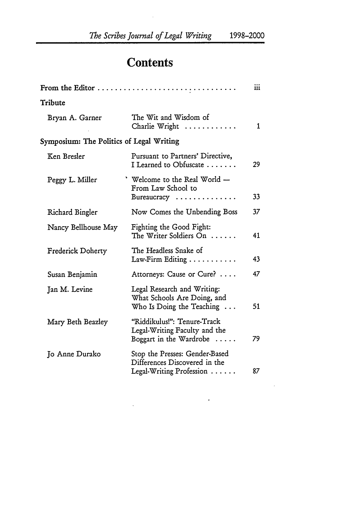## **Contents**

|                                          | From the Editor                                                                                  | iii |
|------------------------------------------|--------------------------------------------------------------------------------------------------|-----|
| Tribute                                  |                                                                                                  |     |
| Bryan A. Garner                          | The Wit and Wisdom of<br>Charlie Wright                                                          | 1   |
| Symposium: The Politics of Legal Writing |                                                                                                  |     |
| Ken Bresler                              | Pursuant to Partners' Directive,<br>I Learned to Obfuscate                                       | 29  |
| Peggy L. Miller                          | ' Welcome to the Real World -<br>From Law School to<br>Bureaucracy                               | 33  |
| Richard Bingler                          | Now Comes the Unbending Boss                                                                     | 37  |
| Nancy Bellhouse May                      | Fighting the Good Fight:<br>The Writer Soldiers On                                               | 41  |
| <b>Frederick Doherty</b>                 | The Headless Snake of<br>$Law-Firm$ Editing $\ldots \ldots \ldots$                               | 43  |
| Susan Benjamin                           | Attorneys: Cause or Cure?                                                                        | 47  |
| Jan M. Levine                            | Legal Research and Writing:<br>What Schools Are Doing, and<br>Who Is Doing the Teaching $\ldots$ | 51  |
| Mary Beth Beazley                        | 'Riddikulus!": Tenure-Track<br>Legal-Writing Faculty and the<br>Boggart in the Wardrobe $\dots$  | 79  |
| Jo Anne Durako                           | Stop the Presses: Gender-Based<br>Differences Discovered in the<br>Legal-Writing Profession      | 87  |

 $\frac{1}{2} \int_{\mathbb{R}^3} \frac{1}{\sqrt{2}} \, \mathrm{d} \mu \, \mathrm{d} \mu \, \mathrm{d} \mu \, \mathrm{d} \mu \, \mathrm{d} \mu \, \mathrm{d} \mu \, \mathrm{d} \mu \, \mathrm{d} \mu \, \mathrm{d} \mu \, \mathrm{d} \mu \, \mathrm{d} \mu \, \mathrm{d} \mu \, \mathrm{d} \mu \, \mathrm{d} \mu \, \mathrm{d} \mu \, \mathrm{d} \mu \, \mathrm{d} \mu \, \mathrm{d} \mu \, \mathrm{d} \mu \, \mathrm{d} \mu \, \mathrm{d} \mu \,$ 

i.

 $\ddot{\phantom{0}}$